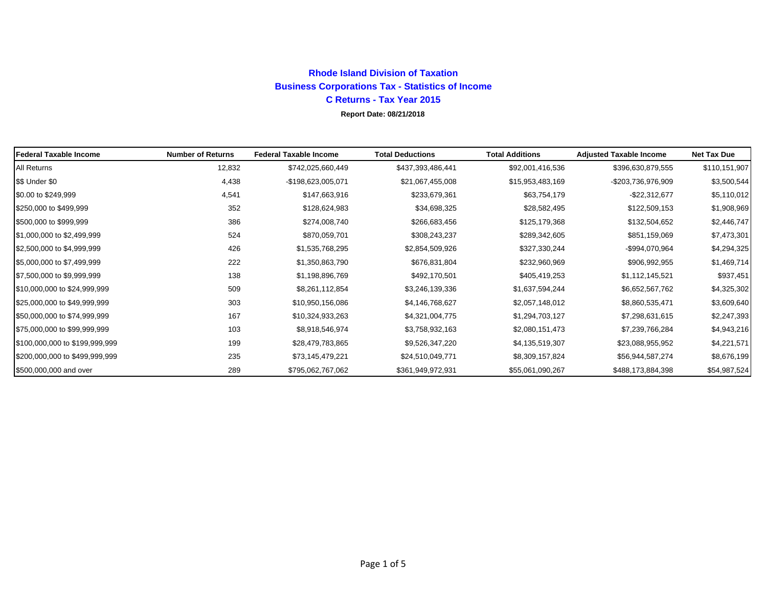# **Rhode Island Division of Taxation Business Corporations Tax - Statistics of Income C Returns - Tax Year 2015**

### **Report Date: 08/21/2018**

| <b>Federal Taxable Income</b>  | <b>Number of Returns</b> | <b>Federal Taxable Income</b> | <b>Total Deductions</b> | <b>Total Additions</b> | <b>Adjusted Taxable Income</b> | <b>Net Tax Due</b> |
|--------------------------------|--------------------------|-------------------------------|-------------------------|------------------------|--------------------------------|--------------------|
| <b>All Returns</b>             | 12,832                   | \$742,025,660,449             | \$437,393,486,441       | \$92,001,416,536       | \$396,630,879,555              | \$110,151,907      |
| \$\$ Under \$0                 | 4,438                    | -\$198,623,005,071            | \$21,067,455,008        | \$15,953,483,169       | -\$203,736,976,909             | \$3,500,544        |
| \$0.00 to \$249,999            | 4,541                    | \$147,663,916                 | \$233,679,361           | \$63,754,179           | $-$22,312,677$                 | \$5,110,012        |
| \$250,000 to \$499,999         | 352                      | \$128,624,983                 | \$34,698,325            | \$28,582,495           | \$122,509,153                  | \$1,908,969        |
| \$500,000 to \$999,999         | 386                      | \$274,008,740                 | \$266,683,456           | \$125,179,368          | \$132,504,652                  | \$2,446,747        |
| \$1,000,000 to \$2,499,999     | 524                      | \$870,059,701                 | \$308,243,237           | \$289,342,605          | \$851,159,069                  | \$7,473,301        |
| \$2,500,000 to \$4,999,999     | 426                      | \$1,535,768,295               | \$2,854,509,926         | \$327,330,244          | -\$994,070,964                 | \$4,294,325        |
| \$5,000,000 to \$7,499,999     | 222                      | \$1,350,863,790               | \$676,831,804           | \$232,960,969          | \$906,992,955                  | \$1,469,714        |
| \$7,500,000 to \$9,999,999     | 138                      | \$1,198,896,769               | \$492,170,501           | \$405,419,253          | \$1,112,145,521                | \$937,451          |
| \$10,000,000 to \$24,999,999   | 509                      | \$8,261,112,854               | \$3,246,139,336         | \$1,637,594,244        | \$6,652,567,762                | \$4,325,302        |
| \$25,000,000 to \$49,999,999   | 303                      | \$10,950,156,086              | \$4,146,768,627         | \$2,057,148,012        | \$8,860,535,471                | \$3,609,640        |
| \$50,000,000 to \$74,999,999   | 167                      | \$10,324,933,263              | \$4,321,004,775         | \$1,294,703,127        | \$7,298,631,615                | \$2,247,393        |
| \$75,000,000 to \$99,999,999   | 103                      | \$8,918,546,974               | \$3,758,932,163         | \$2,080,151,473        | \$7,239,766,284                | \$4,943,216        |
| \$100,000,000 to \$199,999,999 | 199                      | \$28,479,783,865              | \$9,526,347,220         | \$4,135,519,307        | \$23,088,955,952               | \$4,221,571        |
| \$200,000,000 to \$499,999,999 | 235                      | \$73,145,479,221              | \$24,510,049,771        | \$8,309,157,824        | \$56,944,587,274               | \$8,676,199        |
| \$500,000,000 and over         | 289                      | \$795,062,767,062             | \$361,949,972,931       | \$55,061,090,267       | \$488,173,884,398              | \$54,987,524       |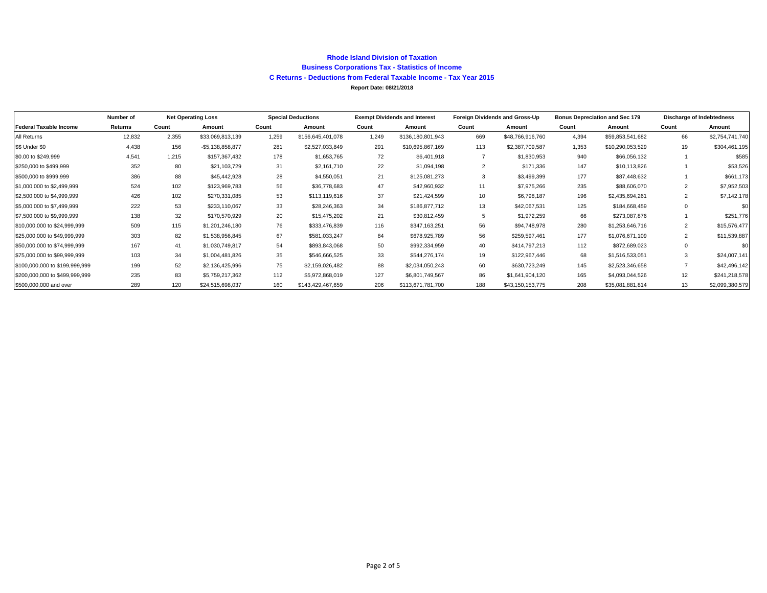#### **Rhode Island Division of Taxation Business Corporations Tax - Statistics of Income C Returns - Deductions from Federal Taxable Income - Tax Year 2015 Report Date: 08/21/2018**

|                                | Number of |       | <b>Net Operating Loss</b> |       | <b>Special Deductions</b><br><b>Exempt Dividends and Interest</b> |       |                   | Foreign Dividends and Gross-Up |                  | <b>Bonus Depreciation and Sec 179</b> |                  | Discharge of Indebtedness |                 |
|--------------------------------|-----------|-------|---------------------------|-------|-------------------------------------------------------------------|-------|-------------------|--------------------------------|------------------|---------------------------------------|------------------|---------------------------|-----------------|
| <b>Federal Taxable Income</b>  | Returns   | Count | Amount                    | Count | Amount                                                            | Count | Amount            | Count                          | Amount           | Count                                 | Amount           | Count                     | Amount          |
| All Returns                    | 12,832    | 2.355 | \$33,069,813,139          | 1.259 | \$156,645,401,078                                                 | 1.249 | \$136,180,801,943 | 669                            | \$48,766,916,760 | 4,394                                 | \$59,853,541,682 | 66                        | \$2,754,741,740 |
| \$\$ Under \$0                 | 4,438     | 156   | $-$5,138,858,877$         | 281   | \$2,527,033,849                                                   | 291   | \$10,695,867,169  | 113                            | \$2,387,709,587  | 1,353                                 | \$10,290,053,529 | 19                        | \$304,461,195   |
| \$0.00 to \$249,999            | 4,541     | 1.215 | \$157,367,432             | 178   | \$1,653,765                                                       | 72    | \$6,401,918       |                                | \$1,830,953      | 940                                   | \$66,056,132     |                           | \$585           |
| \$250,000 to \$499,999         | 352       | 80    | \$21,103,729              | 31    | \$2,161,710                                                       | 22    | \$1,094,198       | $\overline{2}$                 | \$171,336        | 147                                   | \$10,113,826     |                           | \$53,526        |
| \$500,000 to \$999,999         | 386       | 88    | \$45,442,928              | 28    | \$4,550,051                                                       | 21    | \$125,081,273     | 3                              | \$3,499,399      | 177                                   | \$87,448,632     |                           | \$661,173       |
| \$1,000,000 to \$2,499,999     | 524       | 102   | \$123,969,783             | 56    | \$36,778,683                                                      | 47    | \$42,960,932      | 11                             | \$7,975,266      | 235                                   | \$88,606,070     | 2                         | \$7,952,503     |
| \$2,500,000 to \$4,999,999     | 426       | 102   | \$270,331,085             | 53    | \$113,119,616                                                     | 37    | \$21,424,599      | 10                             | \$6,798,187      | 196                                   | \$2,435,694,261  | 2                         | \$7,142,178     |
| \$5,000,000 to \$7,499,999     | 222       | 53    | \$233,110,067             | 33    | \$28,246,363                                                      | 34    | \$186,877,712     | 13                             | \$42,067,531     | 125                                   | \$184,668,459    | $\Omega$                  | \$0             |
| \$7,500,000 to \$9,999,999     | 138       | 32    | \$170,570,929             | 20    | \$15,475,202                                                      | 21    | \$30,812,459      | 5                              | \$1,972,259      | 66                                    | \$273,087,876    |                           | \$251,776       |
| \$10,000,000 to \$24,999,999   | 509       | 115   | \$1,201,246,180           | 76    | \$333,476,839                                                     | 116   | \$347,163,251     | 56                             | \$94,748,978     | 280                                   | \$1,253,646,716  | $\overline{2}$            | \$15,576,477    |
| \$25,000,000 to \$49,999,999   | 303       | 82    | \$1,538,956,845           | 67    | \$581,033,247                                                     | 84    | \$678,925,789     | 56                             | \$259,597,461    | 177                                   | \$1,076,671,109  | 2                         | \$11,539,887    |
| \$50,000,000 to \$74,999,999   | 167       | 41    | \$1,030,749,817           | 54    | \$893,843,068                                                     | 50    | \$992,334,959     | 40                             | \$414,797,213    | 112                                   | \$872,689,023    |                           | \$0             |
| \$75,000,000 to \$99,999,999   | 103       | 34    | \$1,004,481,826           | 35    | \$546,666,525                                                     | 33    | \$544,276,174     | 19                             | \$122,967,446    | 68                                    | \$1,516,533,051  |                           | \$24,007,141    |
| \$100,000,000 to \$199,999,999 | 199       | 52    | \$2,136,425,996           | 75    | \$2,159,026,482                                                   | 88    | \$2,034,050,243   | 60                             | \$630,723,249    | 145                                   | \$2,523,346,658  |                           | \$42,496,142    |
| \$200,000,000 to \$499,999,999 | 235       | 83    | \$5,759,217,362           | 112   | \$5,972,868,019                                                   | 127   | \$6,801,749,567   | 86                             | \$1,641,904,120  | 165                                   | \$4,093,044,526  | 12                        | \$241,218,578   |
| \$500,000,000 and over         | 289       | 120   | \$24,515,698,037          | 160   | \$143,429,467,659                                                 | 206   | \$113,671,781,700 | 188                            | \$43,150,153,775 | 208                                   | \$35,081,881,814 | 13                        | \$2,099,380,579 |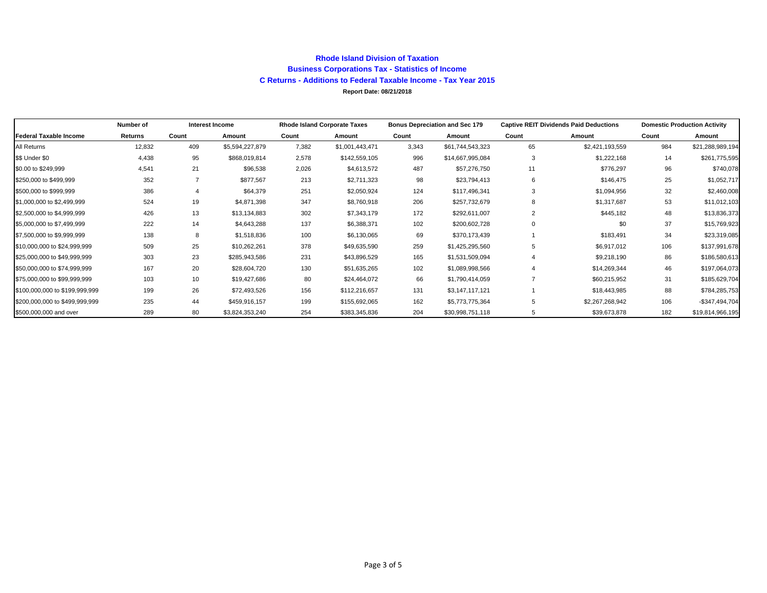#### **Rhode Island Division of Taxation Business Corporations Tax - Statistics of Income C Returns - Additions to Federal Taxable Income - Tax Year 2015 Report Date: 08/21/2018**

|                                | Number of |       | Interest Income | <b>Rhode Island Corporate Taxes</b> |                 | <b>Bonus Depreciation and Sec 179</b> |                  |             | <b>Captive REIT Dividends Paid Deductions</b> | <b>Domestic Production Activity</b> |                   |
|--------------------------------|-----------|-------|-----------------|-------------------------------------|-----------------|---------------------------------------|------------------|-------------|-----------------------------------------------|-------------------------------------|-------------------|
| <b>Federal Taxable Income</b>  | Returns   | Count | Amount          | Count                               | Amount          | Count                                 | Amount           | Count       | Amount                                        | Count                               | Amount            |
| All Returns                    | 12,832    | 409   | \$5,594,227,879 | 7,382                               | \$1,001,443,471 | 3,343                                 | \$61,744,543,323 | 65          | \$2,421,193,559                               | 984                                 | \$21,288,989,194  |
| \$\$ Under \$0                 | 4,438     | 95    | \$868,019,814   | 2,578                               | \$142,559,105   | 996                                   | \$14,667,995,084 | 3           | \$1,222,168                                   | 14                                  | \$261,775,595     |
| \$0.00 to \$249,999            | 4,541     | 21    | \$96,538        | 2,026                               | \$4,613,572     | 487                                   | \$57,276,750     | 11          | \$776,297                                     | 96                                  | \$740,078         |
| \$250,000 to \$499,999         | 352       |       | \$877,567       | 213                                 | \$2,711,323     | 98                                    | \$23,794,413     | 6           | \$146,475                                     | 25                                  | \$1,052,717       |
| \$500,000 to \$999,999         | 386       |       | \$64,379        | 251                                 | \$2,050,924     | 124                                   | \$117,496,341    | 3           | \$1,094,956                                   | 32                                  | \$2,460,008       |
| \$1,000,000 to \$2,499,999     | 524       | 19    | \$4,871,398     | 347                                 | \$8,760,918     | 206                                   | \$257,732,679    | 8           | \$1,317,687                                   | 53                                  | \$11,012,103      |
| \$2,500,000 to \$4,999,999     | 426       | 13    | \$13,134,883    | 302                                 | \$7,343,179     | 172                                   | \$292,611,007    | 2           | \$445,182                                     | 48                                  | \$13,836,373      |
| \$5,000,000 to \$7,499,999     | 222       | 14    | \$4,643,288     | 137                                 | \$6,388,371     | 102                                   | \$200,602,728    | $\mathbf 0$ | \$0                                           | 37                                  | \$15,769,923      |
| \$7,500,000 to \$9,999,999     | 138       | 8     | \$1,518,836     | 100                                 | \$6,130,065     | 69                                    | \$370,173,439    |             | \$183,491                                     | 34                                  | \$23,319,085      |
| \$10,000,000 to \$24,999,999   | 509       | 25    | \$10,262,261    | 378                                 | \$49,635,590    | 259                                   | \$1,425,295,560  | 5           | \$6,917,012                                   | 106                                 | \$137,991,678     |
| \$25,000,000 to \$49,999,999   | 303       | 23    | \$285,943,586   | 231                                 | \$43,896,529    | 165                                   | \$1,531,509,094  |             | \$9,218,190                                   | 86                                  | \$186,580,613     |
| \$50,000,000 to \$74,999.999   | 167       | 20    | \$28,604,720    | 130                                 | \$51,635,265    | 102                                   | \$1,089,998,566  |             | \$14,269,344                                  | 46                                  | \$197,064,073     |
| \$75,000,000 to \$99,999,999   | 103       | 10    | \$19,427,686    | 80                                  | \$24,464,072    | 66                                    | \$1,790,414,059  |             | \$60,215,952                                  | 31                                  | \$185,629,704     |
| \$100,000,000 to \$199,999,999 | 199       | 26    | \$72,493,526    | 156                                 | \$112,216,657   | 131                                   | \$3,147,117,121  |             | \$18,443,985                                  | 88                                  | \$784,285,753     |
| \$200,000,000 to \$499,999,999 | 235       | 44    | \$459,916,157   | 199                                 | \$155,692,065   | 162                                   | \$5,773,775,364  | 5           | \$2,267,268,942                               | 106                                 | $-$ \$347,494,704 |
| \$500,000,000 and over         | 289       | 80    | \$3,824,353,240 | 254                                 | \$383,345,836   | 204                                   | \$30,998,751,118 | 5           | \$39,673,878                                  | 182                                 | \$19,814,966,195  |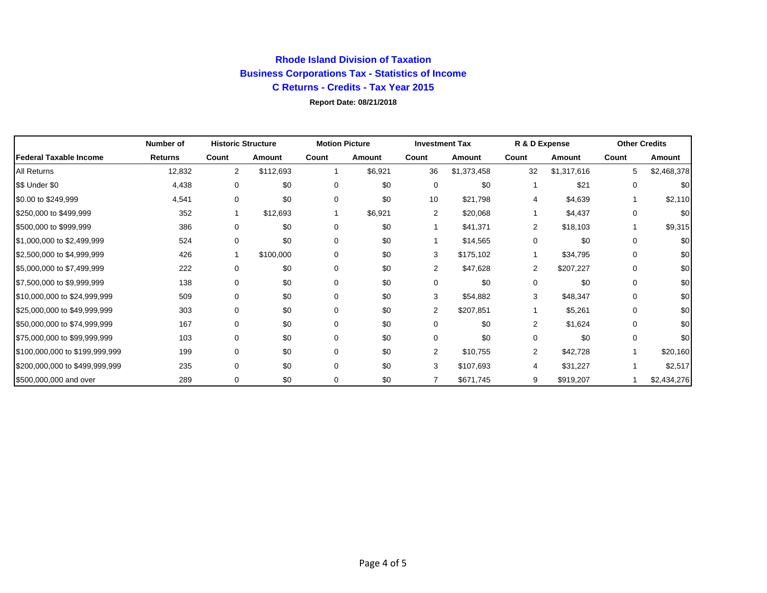## **Rhode Island Division of Taxation Business Corporations Tax - Statistics of Income C Returns - Credits - Tax Year 2015 Report Date: 08/21/2018**

|                                | <b>Number of</b> | <b>Historic Structure</b> |           | <b>Motion Picture</b> |         | <b>Investment Tax</b> |             | R & D Expense  |             | <b>Other Credits</b> |             |
|--------------------------------|------------------|---------------------------|-----------|-----------------------|---------|-----------------------|-------------|----------------|-------------|----------------------|-------------|
| <b>Federal Taxable Income</b>  | <b>Returns</b>   | Count                     | Amount    | Count                 | Amount  | Count                 | Amount      | Count          | Amount      | Count                | Amount      |
| <b>All Returns</b>             | 12,832           | 2                         | \$112,693 |                       | \$6,921 | 36                    | \$1,373,458 | 32             | \$1,317,616 | 5                    | \$2,468,378 |
| \$\$ Under \$0                 | 4,438            | 0                         | \$0       | 0                     | \$0     | 0                     | \$0         |                | \$21        | 0                    | \$0         |
| \$0.00 to \$249,999            | 4,541            | 0                         | \$0       | 0                     | \$0     | 10                    | \$21,798    | 4              | \$4,639     | 1                    | \$2,110     |
| \$250,000 to \$499,999         | 352              |                           | \$12,693  |                       | \$6,921 | $\overline{2}$        | \$20,068    |                | \$4,437     | 0                    | \$0         |
| \$500,000 to \$999,999         | 386              | 0                         | \$0       | 0                     | \$0     |                       | \$41,371    | $\overline{2}$ | \$18,103    |                      | \$9,315     |
| \$1,000,000 to \$2,499,999     | 524              | 0                         | \$0       | 0                     | \$0     |                       | \$14,565    | 0              | \$0         | 0                    | \$0         |
| \$2,500,000 to \$4,999,999     | 426              |                           | \$100,000 | 0                     | \$0     | 3                     | \$175,102   |                | \$34,795    | 0                    | \$0         |
| \$5,000,000 to \$7,499,999     | 222              | 0                         | \$0       | 0                     | \$0     | 2                     | \$47,628    | 2              | \$207,227   | 0                    | \$0         |
| \$7,500,000 to \$9,999,999     | 138              | 0                         | \$0       | 0                     | \$0     | 0                     | \$0         | 0              | \$0         | 0                    | \$0         |
| \$10,000,000 to \$24,999,999   | 509              | 0                         | \$0       | 0                     | \$0     | 3                     | \$54,882    | 3              | \$48,347    | 0                    | \$0         |
| \$25,000,000 to \$49,999,999   | 303              | 0                         | \$0       | 0                     | \$0     | $\overline{2}$        | \$207,851   |                | \$5,261     | 0                    | \$0         |
| \$50,000,000 to \$74,999,999   | 167              | 0                         | \$0       | 0                     | \$0     | 0                     | \$0         | 2              | \$1,624     | 0                    | \$0         |
| \$75,000,000 to \$99,999,999   | 103              | 0                         | \$0       | 0                     | \$0     | 0                     | \$0         | 0              | \$0         | 0                    | \$0         |
| \$100,000,000 to \$199,999,999 | 199              | 0                         | \$0       | 0                     | \$0     | $\overline{2}$        | \$10,755    | $\overline{2}$ | \$42,728    | 1                    | \$20,160    |
| \$200,000,000 to \$499,999,999 | 235              | 0                         | \$0       | 0                     | \$0     | 3                     | \$107,693   | 4              | \$31,227    | 1                    | \$2,517     |
| \$500,000,000 and over         | 289              | 0                         | \$0       | 0                     | \$0     | 7                     | \$671,745   | 9              | \$919,207   |                      | \$2,434,276 |